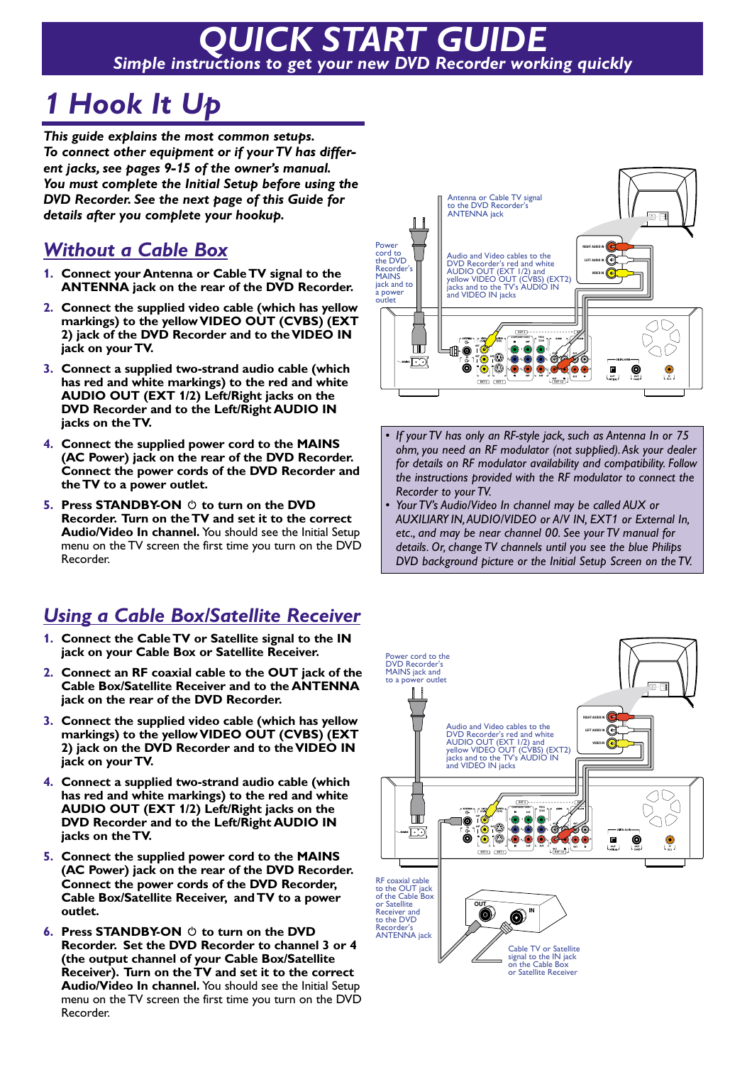# *QUICK START GUIDE Simple instructions to get your new DVD Recorder working quickly*

### *1 Hook It Up*

*This guide explains the most common setups. To connect other equipment or if your TV has different jacks, see pages 9-15 of the owner's manual. You must complete the Initial Setup before using the DVD Recorder. See the next page of this Guide for details after you complete your hookup.*

#### *Without a Cable Box*

- **1. Connect your Antenna or Cable TV signal to the ANTENNA jack on the rear of the DVD Recorder.**
- **2. Connect the supplied video cable (which has yellow markings) to the yellow VIDEO OUT (CVBS) (EXT 2) jack of the DVD Recorder and to the VIDEO IN jack on your TV.**
- **3. Connect a supplied two-strand audio cable (which has red and white markings) to the red and white AUDIO OUT (EXT 1/2) Left/Right jacks on the DVD Recorder and to the Left/Right AUDIO IN jacks on the TV.**
- **4. Connect the supplied power cord to the MAINS (AC Power) jack on the rear of the DVD Recorder. Connect the power cords of the DVD Recorder and the TV to a power outlet.**
- **5.** Press STANDBY-ON  $\circlearrowright$  to turn on the DVD **Recorder. Turn on the TV and set it to the correct Audio/Video In channel.** You should see the Initial Setup menu on the TV screen the first time you turn on the DVD Recorder.

#### *Using a Cable Box/Satellite Receiver*

- **1. Connect the Cable TV or Satellite signal to the IN jack on your Cable Box or Satellite Receiver.**
- **2. Connect an RF coaxial cable to the OUT jack of the Cable Box/Satellite Receiver and to the ANTENNA jack on the rear of the DVD Recorder.**
- **3. Connect the supplied video cable (which has yellow markings) to the yellow VIDEO OUT (CVBS) (EXT 2) jack on the DVD Recorder and to the VIDEO IN jack on your TV.**
- **4. Connect a supplied two-strand audio cable (which has red and white markings) to the red and white AUDIO OUT (EXT 1/2) Left/Right jacks on the DVD Recorder and to the Left/Right AUDIO IN jacks on the TV.**
- **5. Connect the supplied power cord to the MAINS (AC Power) jack on the rear of the DVD Recorder. Connect the power cords of the DVD Recorder, Cable Box/Satellite Receiver, and TV to a power outlet.**
- **6.** Press STANDBY-ON  $\circlearrowright$  to turn on the DVD **Recorder. Set the DVD Recorder to channel 3 or 4 (the output channel of your Cable Box/Satellite Receiver). Turn on the TV and set it to the correct Audio/Video In channel.** You should see the Initial Setup menu on the TV screen the first time you turn on the DVD Recorder.



- *If your TV has only an RF-style jack, such as Antenna In or 75 ohm, you need an RF modulator (not supplied).Ask your dealer for details on RF modulator availability and compatibility. Follow the instructions provided with the RF modulator to connect the Recorder to your TV.*
- *Your TV's Audio/Video In channel may be called AUX or AUXILIARY IN,AUDIO/VIDEO or A/V IN, EXT1 or External In, etc., and may be near channel 00. See your TV manual for details. Or, change TV channels until you see the blue Philips DVD background picture or the Initial Setup Screen on the TV.*

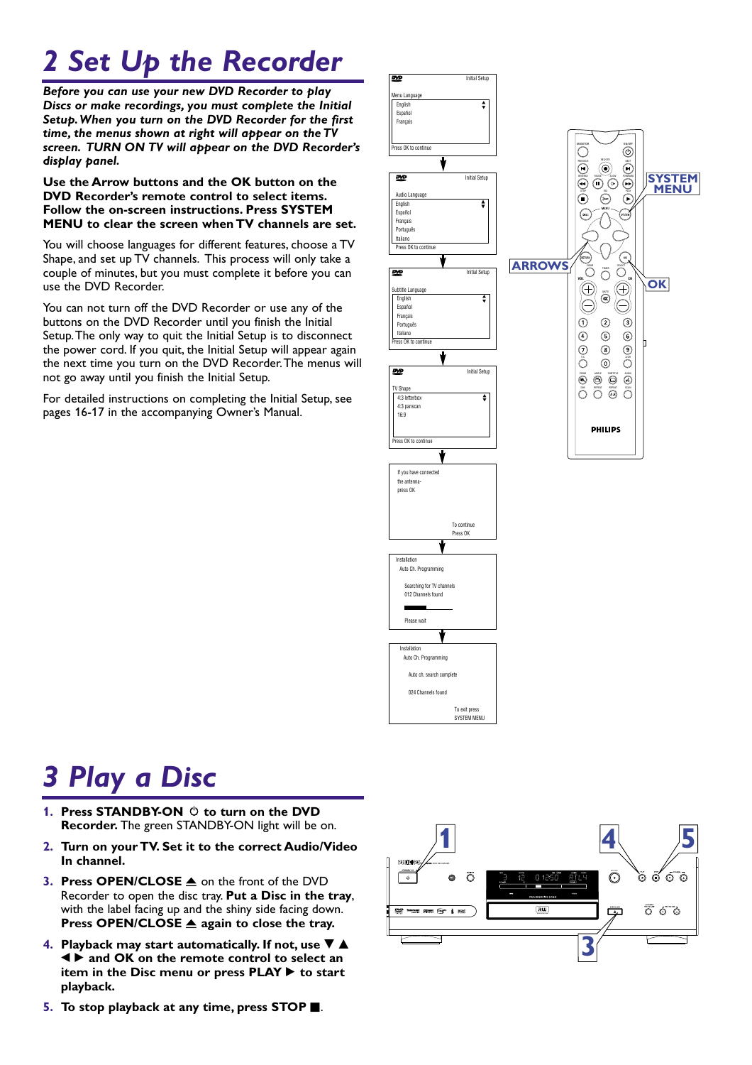## **2 Set Up the Recorder**

*Before you can use your new DVD Recorder to play Discs or make recordings, you must complete the Initial Setup.When you turn on the DVD Recorder for the first time, the menus shown at right will appear on the TV screen. TURN ON TV will appear on the DVD Recorder's display panel.*

#### **Use the Arrow buttons and the OK button on the DVD Recorder's remote control to select items. Follow the on-screen instructions. Press SYSTEM MENU to clear the screen when TV channels are set.**

You will choose languages for different features, choose a TV Shape, and set up TV channels. This process will only take a couple of minutes, but you must complete it before you can use the DVD Recorder.

You can not turn off the DVD Recorder or use any of the buttons on the DVD Recorder until you finish the Initial Setup.The only way to quit the Initial Setup is to disconnect the power cord. If you quit, the Initial Setup will appear again the next time you turn on the DVD Recorder.The menus will not go away until you finish the Initial Setup.

For detailed instructions on completing the Initial Setup, see pages 16-17 in the accompanying Owner's Manual.



### *3 Play a Disc*

- **1. Press STANDBY-ON**  $\circledcirc$  to turn on the DVD **Recorder.** The green STANDBY-ON light will be on.
- **2. Turn on your TV. Set it to the correct Audio/Video In channel.**
- **3. Press OPEN/CLOSE ▲ on the front of the DVD** Recorder to open the disc tray. **Put a Disc in the tray**, with the label facing up and the shiny side facing down. **Press OPEN/CLOSE ▲ again to close the tray.**
- **4. Playback may start automatically. If not, use**  $\nabla$  $\triangle$ ; : **and OK on the remote control to select an item in the Disc menu or press PLAY**  $\triangleright$  **to start playback.**
- **1 4 5 DVD** RECORDER  $\bar{\odot}$ စ် စိ စ် စ် 6  $\tilde{O}$  $\boxed{aw}$  $\overline{\circ}$   $\circ$   $\circ$ DVD Indensed (0) saw front # ocor  $\begin{array}{c}\n\hline\n\text{where}\n\end{array}$ **3**
- **5.** To stop playback at any time, press STOP **E**.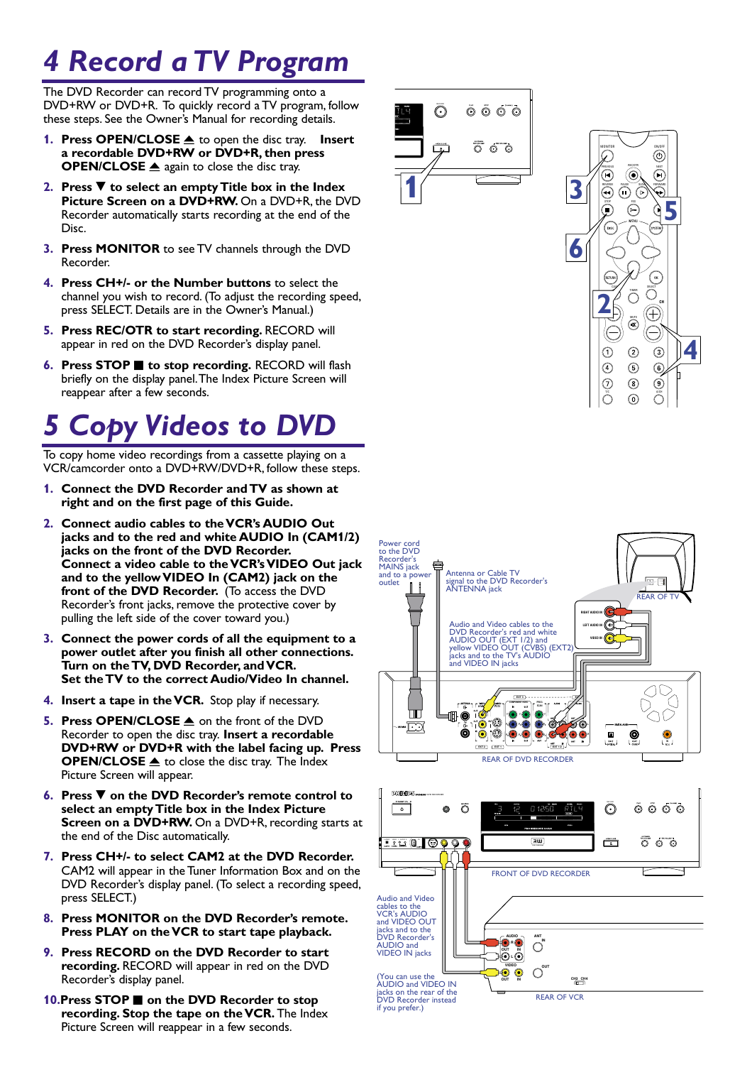### *4 Record a TV Program*

The DVD Recorder can record TV programming onto a DVD+RW or DVD+R. To quickly record a TV program, follow these steps. See the Owner's Manual for recording details.

- **1. Press OPEN/CLOSE ▲** to open the disc tray. Insert **a recordable DVD+RW or DVD+R, then press OPEN/CLOSE** ▲ again to close the disc tray.
- **2. Press ▼ to select an empty Title box in the Index Picture Screen on a DVD+RW.** On a DVD+R, the DVD Recorder automatically starts recording at the end of the Disc.
- **3. Press MONITOR** to see TV channels through the DVD Recorder.
- **4. Press CH+/- or the Number buttons** to select the channel you wish to record. (To adjust the recording speed, press SELECT. Details are in the Owner's Manual.)
- **5. Press REC/OTR to start recording.** RECORD will appear in red on the DVD Recorder's display panel.
- **6.** Press STOP **C** to stop recording. RECORD will flash briefly on the display panel.The Index Picture Screen will reappear after a few seconds.

### *5 Copy Videos to DVD*

To copy home video recordings from a cassette playing on a VCR/camcorder onto a DVD+RW/DVD+R, follow these steps.

- **1. Connect the DVD Recorder and TV as shown at right and on the first page of this Guide.**
- **2. Connect audio cables to the VCR's AUDIO Out jacks and to the red and white AUDIO In (CAM1/2) jacks on the front of the DVD Recorder. Connect a video cable to the VCR's VIDEO Out jack and to the yellow VIDEO In (CAM2) jack on the front of the DVD Recorder.** (To access the DVD Recorder's front jacks, remove the protective cover by pulling the left side of the cover toward you.)
- **3. Connect the power cords of all the equipment to a power outlet after you finish all other connections. Turn on the TV, DVD Recorder, and VCR. Set the TV to the correct Audio/Video In channel.**
- **4. Insert a tape in the VCR.** Stop play if necessary.
- **5. Press OPEN/CLOSE ≜** on the front of the DVD Recorder to open the disc tray. **Insert a recordable DVD+RW or DVD+R with the label facing up. Press OPEN/CLOSE** ▲ to close the disc tray. The Index Picture Screen will appear.
- **6.** Press ▼ on the DVD Recorder's remote control to **select an empty Title box in the Index Picture Screen on a DVD+RW.** On a DVD+R, recording starts at the end of the Disc automatically.
- **7. Press CH+/- to select CAM2 at the DVD Recorder.** CAM2 will appear in the Tuner Information Box and on the DVD Recorder's display panel. (To select a recording speed, press SELECT.)
- **8. Press MONITOR on the DVD Recorder's remote. Press PLAY on the VCR to start tape playback.**
- **9. Press RECORD on the DVD Recorder to start recording.** RECORD will appear in red on the DVD Recorder's display panel.
- **10.Press STOP on the DVD Recorder to stop recording. Stop the tape on the VCR.** The Index Picture Screen will reappear in a few seconds.